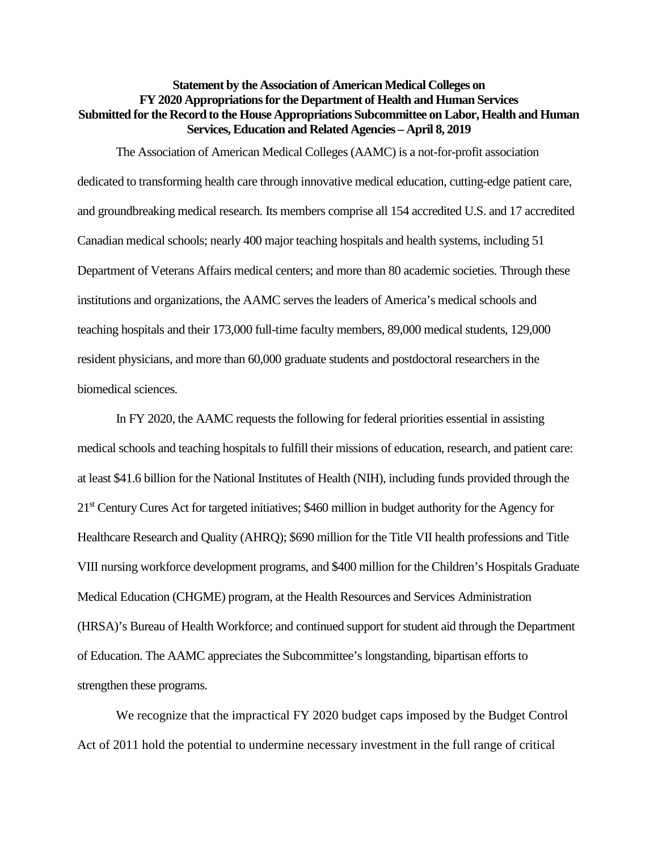## **Statement by the Association of American Medical Colleges on FY 2020 Appropriations for the Department of Health and Human Services Submitted for the Record to the House Appropriations Subcommittee on Labor, Health and Human Services, Education and Related Agencies – April 8, 2019**

The Association of American Medical Colleges (AAMC) is a not-for-profit association dedicated to transforming health care through innovative medical education, cutting-edge patient care, and groundbreaking medical research. Its members comprise all 154 accredited U.S. and 17 accredited Canadian medical schools; nearly 400 major teaching hospitals and health systems, including 51 Department of Veterans Affairs medical centers; and more than 80 academic societies. Through these institutions and organizations, the AAMC serves the leaders of America's medical schools and teaching hospitals and their 173,000 full-time faculty members, 89,000 medical students, 129,000 resident physicians, and more than 60,000 graduate students and postdoctoral researchers in the biomedical sciences.

In FY 2020, the AAMC requests the following for federal priorities essential in assisting medical schools and teaching hospitals to fulfill their missions of education, research, and patient care: at least \$41.6 billion for the National Institutes of Health (NIH), including funds provided through the 21st Century Cures Act for targeted initiatives; \$460 million in budget authority for the Agency for Healthcare Research and Quality (AHRQ); \$690 million for the Title VII health professions and Title VIII nursing workforce development programs, and \$400 million for the Children's Hospitals Graduate Medical Education (CHGME) program, at the Health Resources and Services Administration (HRSA)'s Bureau of Health Workforce; and continued support for student aid through the Department of Education. The AAMC appreciates the Subcommittee's longstanding, bipartisan efforts to strengthen these programs.

We recognize that the impractical FY 2020 budget caps imposed by the Budget Control Act of 2011 hold the potential to undermine necessary investment in the full range of critical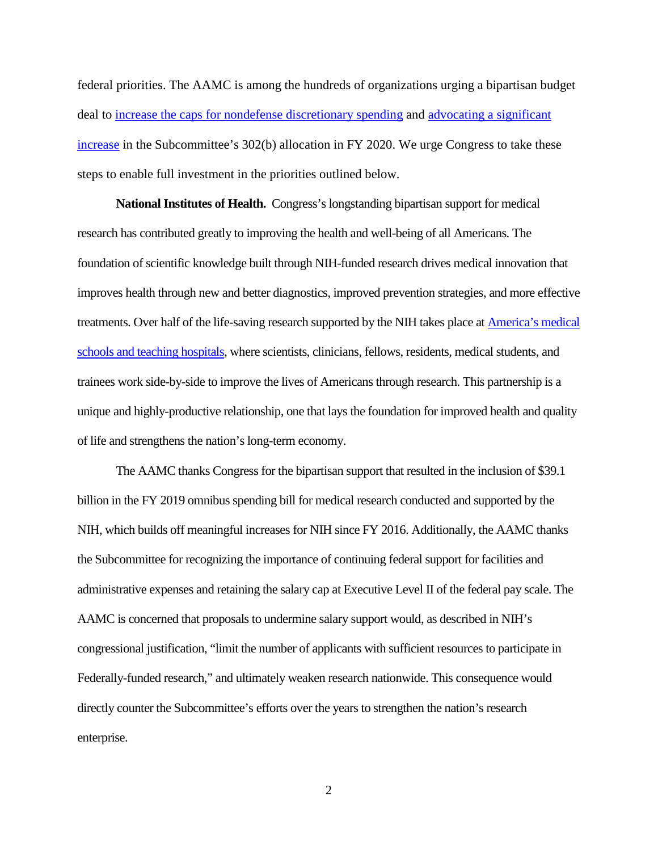federal priorities. The AAMC is among the hundreds of organizations urging a bipartisan budget deal to [increase the caps for nondefense discretionary spending](https://www.aamc.org/download/496632/data/groupletterurgingcongresstoworkonanewbudgetagreementtoraisespen.pdf) and [advocating a significant](https://www.aamc.org/download/496566/data/groupletterurgingstrongfundingallocationfordiscretionaryhealthp.pdf)  [increase](https://www.aamc.org/download/496566/data/groupletterurgingstrongfundingallocationfordiscretionaryhealthp.pdf) in the Subcommittee's 302(b) allocation in FY 2020. We urge Congress to take these steps to enable full investment in the priorities outlined below.

**National Institutes of Health.** Congress's longstanding bipartisan support for medical research has contributed greatly to improving the health and well-being of all Americans. The foundation of scientific knowledge built through NIH-funded research drives medical innovation that improves health through new and better diagnostics, improved prevention strategies, and more effective treatments. Over half of the life-saving research supported by the NIH takes place a[t America's medical](https://aamc-black.global.ssl.fastly.net/production/media/filer_public/6a/b5/6ab5f9f4-a1ee-4aae-8cdd-488cdb84e0a8/nih_-_final_value_of_nih-funded_research_infographic_-_20190109.pdf)  [schools and teaching hospitals,](https://aamc-black.global.ssl.fastly.net/production/media/filer_public/6a/b5/6ab5f9f4-a1ee-4aae-8cdd-488cdb84e0a8/nih_-_final_value_of_nih-funded_research_infographic_-_20190109.pdf) where scientists, clinicians, fellows, residents, medical students, and trainees work side-by-side to improve the lives of Americans through research. This partnership is a unique and highly-productive relationship, one that lays the foundation for improved health and quality of life and strengthens the nation's long-term economy.

The AAMC thanks Congress for the bipartisan support that resulted in the inclusion of \$39.1 billion in the FY 2019 omnibus spending bill for medical research conducted and supported by the NIH, which builds off meaningful increases for NIH since FY 2016. Additionally, the AAMC thanks the Subcommittee for recognizing the importance of continuing federal support for facilities and administrative expenses and retaining the salary cap at Executive Level II of the federal pay scale. The AAMC is concerned that proposals to undermine salary support would, as described in NIH's congressional justification, "limit the number of applicants with sufficient resources to participate in Federally-funded research," and ultimately weaken research nationwide. This consequence would directly counter the Subcommittee's efforts over the years to strengthen the nation's research enterprise.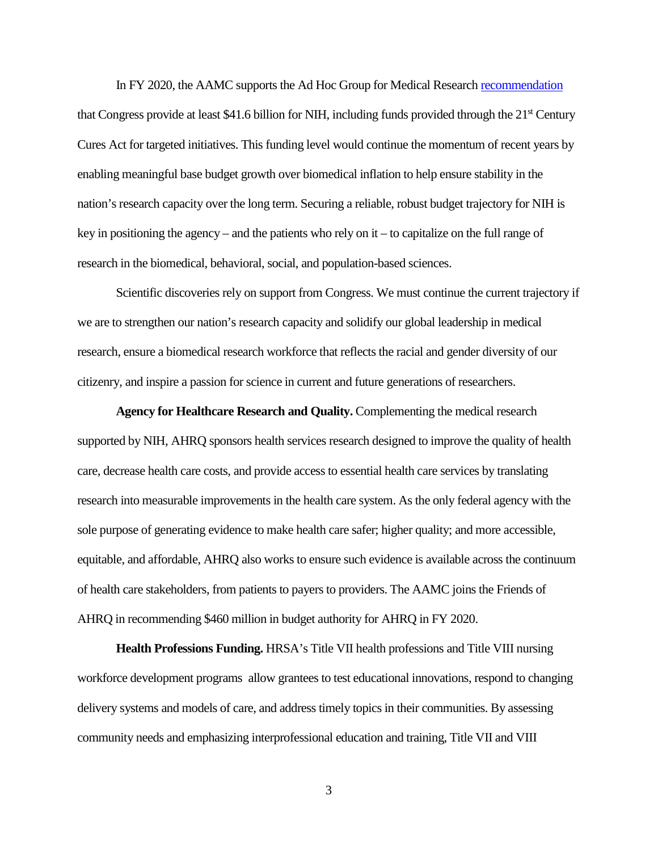In FY 2020, the AAMC supports the Ad Hoc Group for Medical Researc[h recommendation](https://www.aamc.org/research/adhocgp/FY20recommendation.pdf) that Congress provide at least \$41.6 billion for NIH, including funds provided through the  $21<sup>st</sup>$  Century Cures Act for targeted initiatives. This funding level would continue the momentum of recent years by enabling meaningful base budget growth over biomedical inflation to help ensure stability in the nation's research capacity over the long term. Securing a reliable, robust budget trajectory for NIH is key in positioning the agency – and the patients who rely on it – to capitalize on the full range of research in the biomedical, behavioral, social, and population-based sciences.

Scientific discoveries rely on support from Congress. We must continue the current trajectory if we are to strengthen our nation's research capacity and solidify our global leadership in medical research, ensure a biomedical research workforce that reflects the racial and gender diversity of our citizenry, and inspire a passion for science in current and future generations of researchers.

**Agency for Healthcare Research and Quality.** Complementing the medical research supported by NIH, AHRQ sponsors health services research designed to improve the quality of health care, decrease health care costs, and provide access to essential health care services by translating research into measurable improvements in the health care system. As the only federal agency with the sole purpose of generating evidence to make health care safer; higher quality; and more accessible, equitable, and affordable, AHRQ also works to ensure such evidence is available across the continuum of health care stakeholders, from patients to payers to providers. The AAMC joins the Friends of AHRQ in recommending \$460 million in budget authority for AHRQ in FY 2020.

**Health Professions Funding.** HRSA's Title VII health professions and Title VIII nursing workforce development programs allow grantees to test educational innovations, respond to changing delivery systems and models of care, and address timely topics in their communities. By assessing community needs and emphasizing interprofessional education and training, Title VII and VIII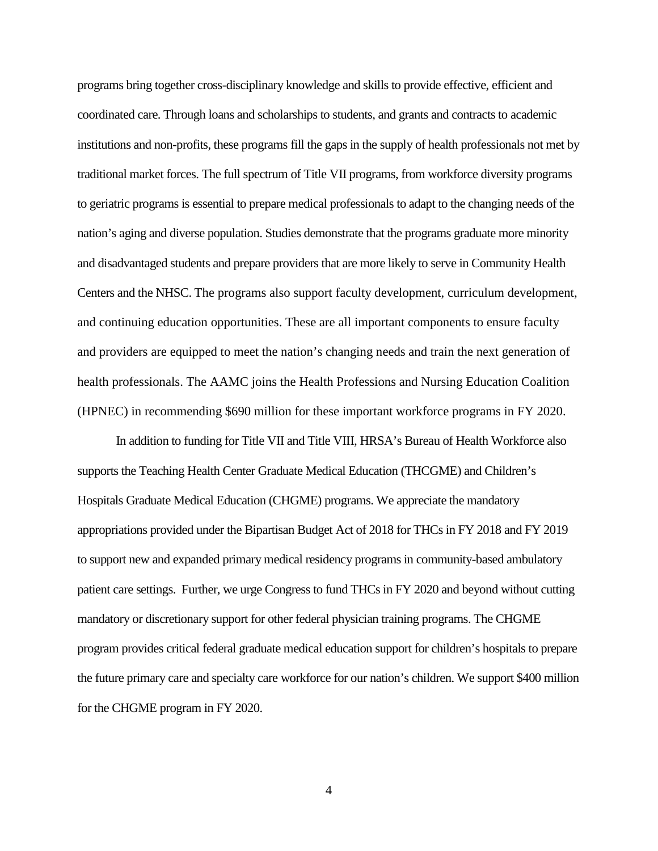programs bring together cross-disciplinary knowledge and skills to provide effective, efficient and coordinated care. Through loans and scholarships to students, and grants and contracts to academic institutions and non-profits, these programs fill the gaps in the supply of health professionals not met by traditional market forces. The full spectrum of Title VII programs, from workforce diversity programs to geriatric programs is essential to prepare medical professionals to adapt to the changing needs of the nation's aging and diverse population. Studies demonstrate that the programs graduate more minority and disadvantaged students and prepare providers that are more likely to serve in Community Health Centers and the NHSC. The programs also support faculty development, curriculum development, and continuing education opportunities. These are all important components to ensure faculty and providers are equipped to meet the nation's changing needs and train the next generation of health professionals. The AAMC joins the Health Professions and Nursing Education Coalition (HPNEC) in recommending \$690 million for these important workforce programs in FY 2020.

In addition to funding for Title VII and Title VIII, HRSA's Bureau of Health Workforce also supports the Teaching Health Center Graduate Medical Education (THCGME) and Children's Hospitals Graduate Medical Education (CHGME) programs. We appreciate the mandatory appropriations provided under the Bipartisan Budget Act of 2018 for THCs in FY 2018 and FY 2019 to support new and expanded primary medical residency programs in community-based ambulatory patient care settings. Further, we urge Congress to fund THCs in FY 2020 and beyond without cutting mandatory or discretionary support for other federal physician training programs. The CHGME program provides critical federal graduate medical education support for children's hospitals to prepare the future primary care and specialty care workforce for our nation's children. We support \$400 million for the CHGME program in FY 2020.